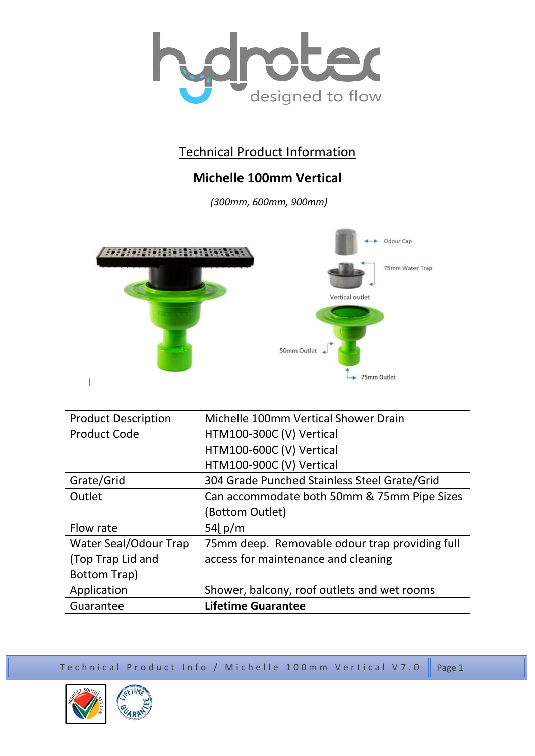

## Technical Product Information

## **Michelle 100mm Vertical**

*(300mm, 600mm, 900mm)*



| <b>Product Description</b> | Michelle 100mm Vertical Shower Drain           |
|----------------------------|------------------------------------------------|
| <b>Product Code</b>        | HTM100-300C (V) Vertical                       |
|                            | HTM100-600C (V) Vertical                       |
|                            | HTM100-900C (V) Vertical                       |
| Grate/Grid                 | 304 Grade Punched Stainless Steel Grate/Grid   |
| Outlet                     | Can accommodate both 50mm & 75mm Pipe Sizes    |
|                            | (Bottom Outlet)                                |
| Flow rate                  | 54 $p/m$                                       |
| Water Seal/Odour Trap      | 75mm deep. Removable odour trap providing full |
| (Top Trap Lid and          | access for maintenance and cleaning            |
| <b>Bottom Trap)</b>        |                                                |
| Application                | Shower, balcony, roof outlets and wet rooms    |
| Guarantee                  | <b>Lifetime Guarantee</b>                      |

Technical Product Info / Michelle 100mm Vertical V7.0  $\parallel$  Page 1